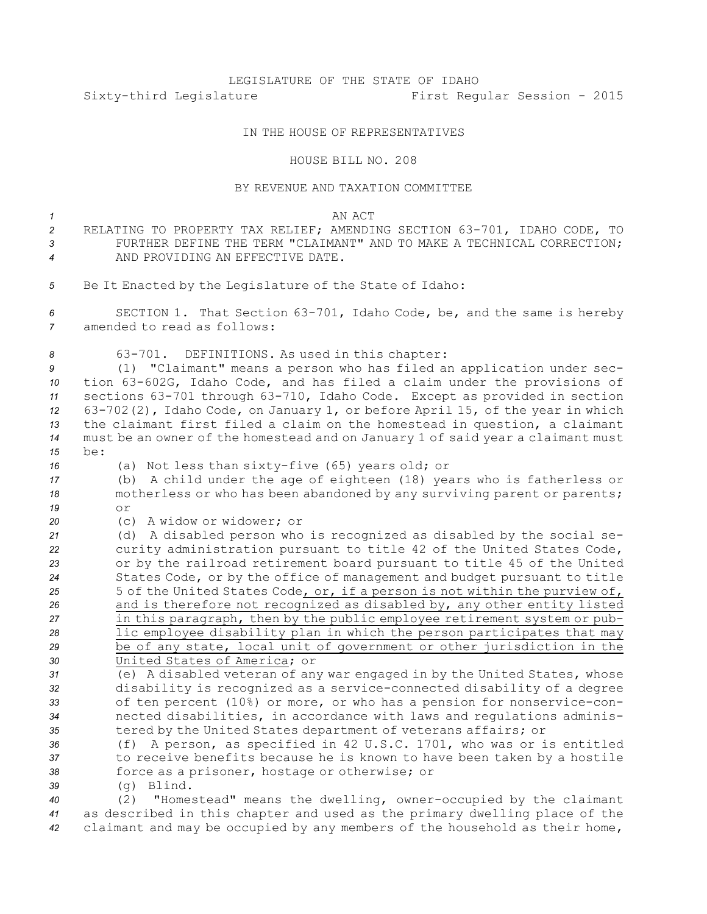## LEGISLATURE OF THE STATE OF IDAHO Sixty-third Legislature First Regular Session - 2015

## IN THE HOUSE OF REPRESENTATIVES

## HOUSE BILL NO. 208

## BY REVENUE AND TAXATION COMMITTEE

*1* AN ACT RELATING TO PROPERTY TAX RELIEF; AMENDING SECTION 63-701, IDAHO CODE, TO FURTHER DEFINE THE TERM "CLAIMANT" AND TO MAKE A TECHNICAL CORRECTION; AND PROVIDING AN EFFECTIVE DATE. Be It Enacted by the Legislature of the State of Idaho: SECTION 1. That Section 63-701, Idaho Code, be, and the same is hereby amended to read as follows: 63-701. DEFINITIONS. As used in this chapter: (1) "Claimant" means <sup>a</sup> person who has filed an application under sec- tion 63-602G, Idaho Code, and has filed <sup>a</sup> claim under the provisions of sections 63-701 through 63-710, Idaho Code. Except as provided in section 63-702(2), Idaho Code, on January 1, or before April 15, of the year in which the claimant first filed <sup>a</sup> claim on the homestead in question, <sup>a</sup> claimant must be an owner of the homestead and on January 1 of said year <sup>a</sup> claimant must *15* be: (a) Not less than sixty-five (65) years old; or (b) <sup>A</sup> child under the age of eighteen (18) years who is fatherless or motherless or who has been abandoned by any surviving parent or parents; *19* or (c) A widow or widower; or (d) <sup>A</sup> disabled person who is recognized as disabled by the social se- curity administration pursuant to title 42 of the United States Code, or by the railroad retirement board pursuant to title 45 of the United States Code, or by the office of management and budget pursuant to title 25 5 of the United States Code, or, if a person is not within the purview of, and is therefore not recognized as disabled by, any other entity listed in this paragraph, then by the public employee retirement system or pub- lic employee disability plan in which the person participates that may be of any state, local unit of government or other jurisdiction in the United States of America; or (e) <sup>A</sup> disabled veteran of any war engaged in by the United States, whose disability is recognized as <sup>a</sup> service-connected disability of <sup>a</sup> degree of ten percent (10%) or more, or who has <sup>a</sup> pension for nonservice-con- nected disabilities, in accordance with laws and regulations adminis- tered by the United States department of veterans affairs; or (f) <sup>A</sup> person, as specified in 42 U.S.C. 1701, who was or is entitled to receive benefits because he is known to have been taken by <sup>a</sup> hostile force as <sup>a</sup> prisoner, hostage or otherwise; or (g) Blind. (2) "Homestead" means the dwelling, owner-occupied by the claimant as described in this chapter and used as the primary dwelling place of the

*<sup>42</sup>* claimant and may be occupied by any members of the household as their home,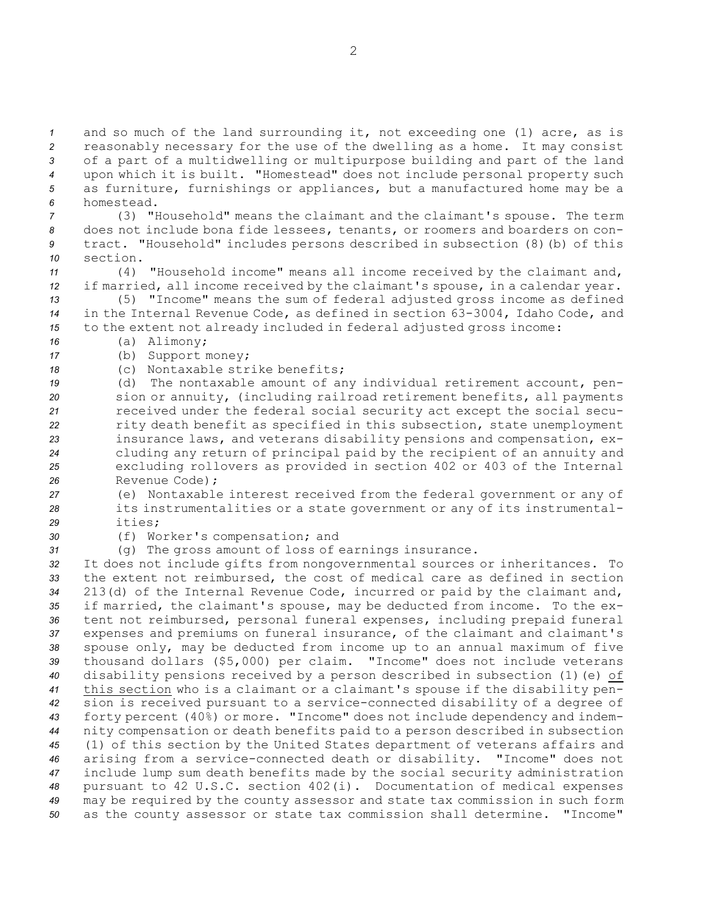and so much of the land surrounding it, not exceeding one (1) acre, as is reasonably necessary for the use of the dwelling as <sup>a</sup> home. It may consist of <sup>a</sup> part of <sup>a</sup> multidwelling or multipurpose building and part of the land upon which it is built. "Homestead" does not include personal property such as furniture, furnishings or appliances, but <sup>a</sup> manufactured home may be <sup>a</sup> homestead.

 (3) "Household" means the claimant and the claimant's spouse. The term does not include bona fide lessees, tenants, or roomers and boarders on con- tract. "Household" includes persons described in subsection (8)(b) of this *10* section.

*<sup>11</sup>* (4) "Household income" means all income received by the claimant and, *<sup>12</sup>* if married, all income received by the claimant's spouse, in <sup>a</sup> calendar year.

*<sup>13</sup>* (5) "Income" means the sum of federal adjusted gross income as defined *<sup>14</sup>* in the Internal Revenue Code, as defined in section 63-3004, Idaho Code, and *<sup>15</sup>* to the extent not already included in federal adjusted gross income:

*<sup>16</sup>* (a) Alimony;

*<sup>17</sup>* (b) Support money;

*18* (c) Nontaxable strike benefits;

 (d) The nontaxable amount of any individual retirement account, pen- sion or annuity, (including railroad retirement benefits, all payments received under the federal social security act except the social secu- rity death benefit as specified in this subsection, state unemployment insurance laws, and veterans disability pensions and compensation, ex- cluding any return of principal paid by the recipient of an annuity and excluding rollovers as provided in section 402 or 403 of the Internal Revenue Code);

*<sup>27</sup>* (e) Nontaxable interest received from the federal government or any of *<sup>28</sup>* its instrumentalities or <sup>a</sup> state government or any of its instrumental-*29* ities;

*<sup>30</sup>* (f) Worker's compensation; and

*<sup>31</sup>* (g) The gross amount of loss of earnings insurance.

 It does not include gifts from nongovernmental sources or inheritances. To the extent not reimbursed, the cost of medical care as defined in section 213(d) of the Internal Revenue Code, incurred or paid by the claimant and, if married, the claimant's spouse, may be deducted from income. To the ex- tent not reimbursed, personal funeral expenses, including prepaid funeral expenses and premiums on funeral insurance, of the claimant and claimant's spouse only, may be deducted from income up to an annual maximum of five thousand dollars (\$5,000) per claim. "Income" does not include veterans disability pensions received by <sup>a</sup> person described in subsection (1)(e) of this section who is <sup>a</sup> claimant or <sup>a</sup> claimant's spouse if the disability pen- sion is received pursuant to <sup>a</sup> service-connected disability of <sup>a</sup> degree of forty percent (40%) or more. "Income" does not include dependency and indem- nity compensation or death benefits paid to <sup>a</sup> person described in subsection (1) of this section by the United States department of veterans affairs and arising from <sup>a</sup> service-connected death or disability. "Income" does not include lump sum death benefits made by the social security administration pursuant to 42 U.S.C. section 402(i). Documentation of medical expenses may be required by the county assessor and state tax commission in such form as the county assessor or state tax commission shall determine. "Income"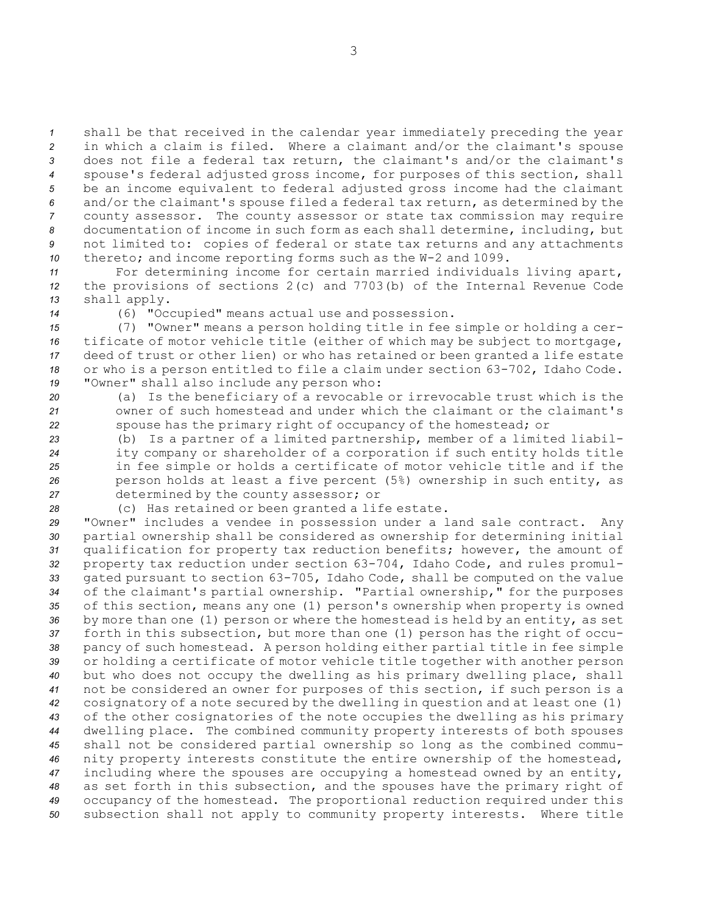shall be that received in the calendar year immediately preceding the year in which <sup>a</sup> claim is filed. Where <sup>a</sup> claimant and/or the claimant's spouse does not file <sup>a</sup> federal tax return, the claimant's and/or the claimant's spouse's federal adjusted gross income, for purposes of this section, shall be an income equivalent to federal adjusted gross income had the claimant and/or the claimant's spouse filed <sup>a</sup> federal tax return, as determined by the county assessor. The county assessor or state tax commission may require documentation of income in such form as each shall determine, including, but not limited to: copies of federal or state tax returns and any attachments thereto; and income reporting forms such as the W-2 and 1099.

*<sup>11</sup>* For determining income for certain married individuals living apart, *<sup>12</sup>* the provisions of sections 2(c) and 7703(b) of the Internal Revenue Code *<sup>13</sup>* shall apply.

*<sup>14</sup>* (6) "Occupied" means actual use and possession.

 (7) "Owner" means <sup>a</sup> person holding title in fee simple or holding <sup>a</sup> cer- tificate of motor vehicle title (either of which may be subject to mortgage, deed of trust or other lien) or who has retained or been granted <sup>a</sup> life estate or who is <sup>a</sup> person entitled to file <sup>a</sup> claim under section 63-702, Idaho Code. "Owner" shall also include any person who:

*<sup>20</sup>* (a) Is the beneficiary of <sup>a</sup> revocable or irrevocable trust which is the *21* owner of such homestead and under which the claimant or the claimant's *<sup>22</sup>* spouse has the primary right of occupancy of the homestead; or

 (b) Is <sup>a</sup> partner of <sup>a</sup> limited partnership, member of <sup>a</sup> limited liabil- ity company or shareholder of <sup>a</sup> corporation if such entity holds title in fee simple or holds <sup>a</sup> certificate of motor vehicle title and if the person holds at least <sup>a</sup> five percent (5%) ownership in such entity, as determined by the county assessor; or

*<sup>28</sup>* (c) Has retained or been granted <sup>a</sup> life estate.

 "Owner" includes <sup>a</sup> vendee in possession under <sup>a</sup> land sale contract. Any partial ownership shall be considered as ownership for determining initial qualification for property tax reduction benefits; however, the amount of property tax reduction under section 63-704, Idaho Code, and rules promul- gated pursuant to section 63-705, Idaho Code, shall be computed on the value of the claimant's partial ownership. "Partial ownership," for the purposes of this section, means any one (1) person's ownership when property is owned by more than one (1) person or where the homestead is held by an entity, as set forth in this subsection, but more than one (1) person has the right of occu- pancy of such homestead. <sup>A</sup> person holding either partial title in fee simple or holding <sup>a</sup> certificate of motor vehicle title together with another person but who does not occupy the dwelling as his primary dwelling place, shall not be considered an owner for purposes of this section, if such person is <sup>a</sup> cosignatory of <sup>a</sup> note secured by the dwelling in question and at least one (1) of the other cosignatories of the note occupies the dwelling as his primary dwelling place. The combined community property interests of both spouses shall not be considered partial ownership so long as the combined commu- nity property interests constitute the entire ownership of the homestead, including where the spouses are occupying <sup>a</sup> homestead owned by an entity, as set forth in this subsection, and the spouses have the primary right of occupancy of the homestead. The proportional reduction required under this subsection shall not apply to community property interests. Where title